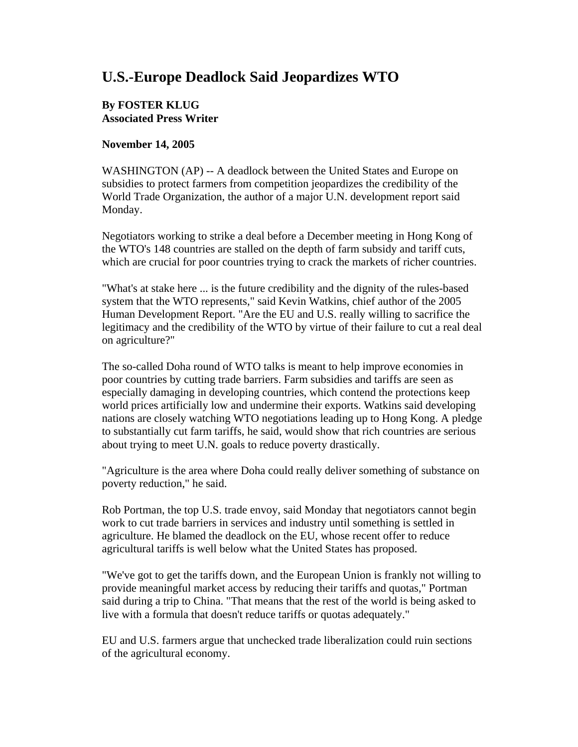## **U.S.-Europe Deadlock Said Jeopardizes WTO**

## **By FOSTER KLUG Associated Press Writer**

## **November 14, 2005**

WASHINGTON (AP) -- A deadlock between the United States and Europe on subsidies to protect farmers from competition jeopardizes the credibility of the World Trade Organization, the author of a major U.N. development report said Monday.

Negotiators working to strike a deal before a December meeting in Hong Kong of the WTO's 148 countries are stalled on the depth of farm subsidy and tariff cuts, which are crucial for poor countries trying to crack the markets of richer countries.

"What's at stake here ... is the future credibility and the dignity of the rules-based system that the WTO represents," said Kevin Watkins, chief author of the 2005 Human Development Report. "Are the EU and U.S. really willing to sacrifice the legitimacy and the credibility of the WTO by virtue of their failure to cut a real deal on agriculture?"

The so-called Doha round of WTO talks is meant to help improve economies in poor countries by cutting trade barriers. Farm subsidies and tariffs are seen as especially damaging in developing countries, which contend the protections keep world prices artificially low and undermine their exports. Watkins said developing nations are closely watching WTO negotiations leading up to Hong Kong. A pledge to substantially cut farm tariffs, he said, would show that rich countries are serious about trying to meet U.N. goals to reduce poverty drastically.

"Agriculture is the area where Doha could really deliver something of substance on poverty reduction," he said.

Rob Portman, the top U.S. trade envoy, said Monday that negotiators cannot begin work to cut trade barriers in services and industry until something is settled in agriculture. He blamed the deadlock on the EU, whose recent offer to reduce agricultural tariffs is well below what the United States has proposed.

"We've got to get the tariffs down, and the European Union is frankly not willing to provide meaningful market access by reducing their tariffs and quotas," Portman said during a trip to China. "That means that the rest of the world is being asked to live with a formula that doesn't reduce tariffs or quotas adequately."

EU and U.S. farmers argue that unchecked trade liberalization could ruin sections of the agricultural economy.